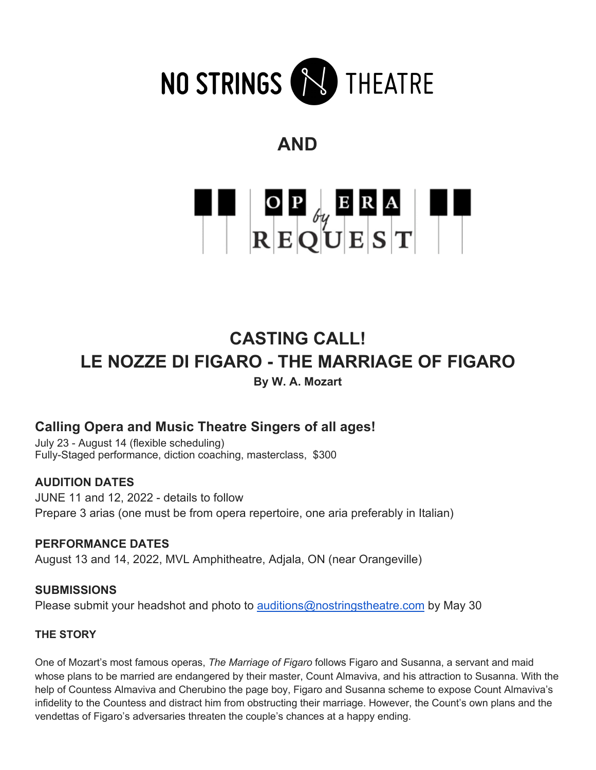

# **AND**



## **CASTING CALL! LE NOZZE DI FIGARO - THE MARRIAGE OF FIGARO By W. A. Mozart**

## **Calling Opera and Music Theatre Singers of all ages!**

July 23 - August 14 (flexible scheduling) Fully-Staged performance, diction coaching, masterclass, \$300

## **AUDITION DATES**

JUNE 11 and 12, 2022 - details to follow Prepare 3 arias (one must be from opera repertoire, one aria preferably in Italian)

**PERFORMANCE DATES** August 13 and 14, 2022, MVL Amphitheatre, Adjala, ON (near Orangeville)

**SUBMISSIONS** Please submit your headshot and photo to auditions@nostringstheatre.com by May 30

## **THE STORY**

One of Mozart's most famous operas, *The Marriage of Figaro* follows Figaro and Susanna, a servant and maid whose plans to be married are endangered by their master, Count Almaviva, and his attraction to Susanna. With the help of Countess Almaviva and Cherubino the page boy, Figaro and Susanna scheme to expose Count Almaviva's infidelity to the Countess and distract him from obstructing their marriage. However, the Count's own plans and the vendettas of Figaro's adversaries threaten the couple's chances at a happy ending.